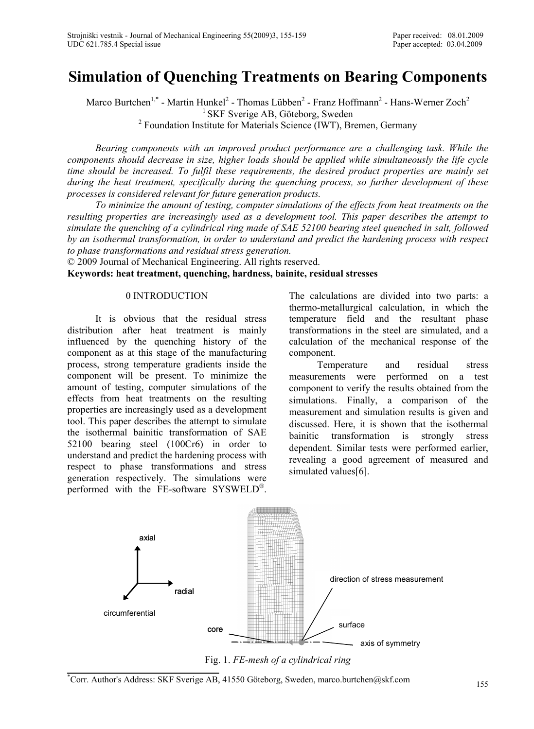# **Simulation of Quenching Treatments on Bearing Components**

Marco Burtchen<sup>1,\*</sup> - Martin Hunkel<sup>2</sup> - Thomas Lübben<sup>2</sup> - Franz Hoffmann<sup>2</sup> - Hans-Werner Zoch<sup>2</sup> <sup>1</sup> SKF Sverige AB, Göteborg, Sweden

 $2$  Foundation Institute for Materials Science (IWT), Bremen, Germany

*Bearing components with an improved product performance are a challenging task. While the components should decrease in size, higher loads should be applied while simultaneously the life cycle time should be increased. To fulfil these requirements, the desired product properties are mainly set during the heat treatment, specifically during the quenching process, so further development of these processes is considered relevant for future generation products.* 

*To minimize the amount of testing, computer simulations of the effects from heat treatments on the resulting properties are increasingly used as a development tool. This paper describes the attempt to simulate the quenching of a cylindrical ring made of SAE 52100 bearing steel quenched in salt, followed by an isothermal transformation, in order to understand and predict the hardening process with respect to phase transformations and residual stress generation.* 

© 2009 Journal of Mechanical Engineering. All rights reserved. **Keywords: heat treatment, quenching, hardness, bainite, residual stresses** 

## 0 INTRODUCTION

It is obvious that the residual stress distribution after heat treatment is mainly influenced by the quenching history of the component as at this stage of the manufacturing process, strong temperature gradients inside the component will be present. To minimize the amount of testing, computer simulations of the effects from heat treatments on the resulting properties are increasingly used as a development tool. This paper describes the attempt to simulate the isothermal bainitic transformation of SAE 52100 bearing steel (100Cr6) in order to understand and predict the hardening process with respect to phase transformations and stress generation respectively. The simulations were performed with the FE-software SYSWELD®.

The calculations are divided into two parts: a thermo-metallurgical calculation, in which the temperature field and the resultant phase transformations in the steel are simulated, and a calculation of the mechanical response of the component.

Temperature and residual stress measurements were performed on a test component to verify the results obtained from the simulations. Finally, a comparison of the measurement and simulation results is given and discussed. Here, it is shown that the isothermal bainitic transformation is strongly stress dependent. Similar tests were performed earlier, revealing a good agreement of measured and simulated values[6].



Fig. 1. *FE-mesh of a cylindrical ring*

<sup>\*</sup> Corr. Author's Address: SKF Sverige AB, 41550 Göteborg, Sweden, marco.burtchen@skf.com 155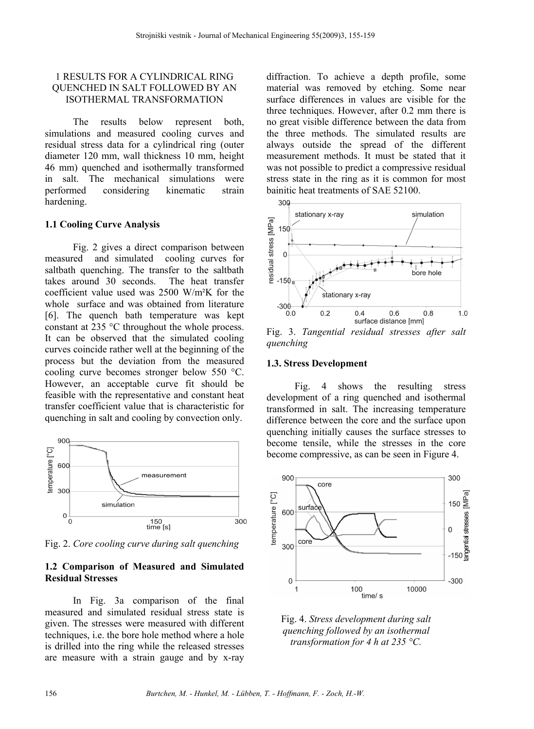## 1 RESULTS FOR A CYLINDRICAL RING QUENCHED IN SALT FOLLOWED BY AN ISOTHERMAL TRANSFORMATION

The results below represent both, simulations and measured cooling curves and residual stress data for a cylindrical ring (outer diameter 120 mm, wall thickness 10 mm, height 46 mm) quenched and isothermally transformed in salt. The mechanical simulations were performed considering kinematic strain hardening.

#### **1.1 Cooling Curve Analysis**

Fig. 2 gives a direct comparison between measured and simulated cooling curves for saltbath quenching. The transfer to the saltbath takes around 30 seconds. The heat transfer coefficient value used was 2500 W/m²K for the whole surface and was obtained from literature [6]. The quench bath temperature was kept constant at 235 °C throughout the whole process. It can be observed that the simulated cooling curves coincide rather well at the beginning of the process but the deviation from the measured cooling curve becomes stronger below 550 °C. However, an acceptable curve fit should be feasible with the representative and constant heat transfer coefficient value that is characteristic for quenching in salt and cooling by convection only.



Fig. 2. *Core cooling curve during salt quenching*

#### **1.2 Comparison of Measured and Simulated Residual Stresses**

In Fig. 3a comparison of the final measured and simulated residual stress state is given. The stresses were measured with different techniques, i.e. the bore hole method where a hole is drilled into the ring while the released stresses are measure with a strain gauge and by x-ray diffraction. To achieve a depth profile, some material was removed by etching. Some near surface differences in values are visible for the three techniques. However, after 0.2 mm there is no great visible difference between the data from the three methods. The simulated results are always outside the spread of the different measurement methods. It must be stated that it was not possible to predict a compressive residual stress state in the ring as it is common for most bainitic heat treatments of SAE 52100.



Fig. 3. *Tangential residual stresses after salt quenching*

#### **1.3. Stress Development**

Fig. 4 shows the resulting stress development of a ring quenched and isothermal transformed in salt. The increasing temperature difference between the core and the surface upon quenching initially causes the surface stresses to become tensile, while the stresses in the core become compressive, as can be seen in Figure 4.



Fig. 4. *Stress development during salt quenching followed by an isothermal transformation for 4 h at 235 °C.*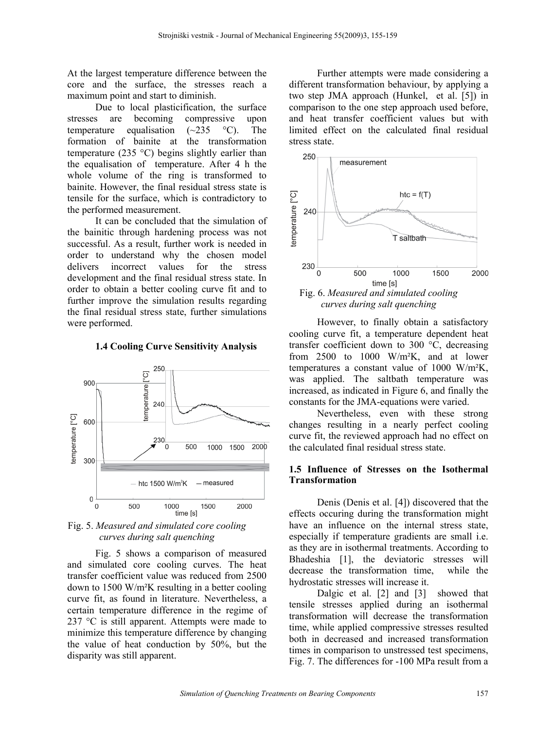At the largest temperature difference between the core and the surface, the stresses reach a maximum point and start to diminish.

Due to local plasticification, the surface stresses are becoming compressive upon temperature equalisation  $(\sim 235 \degree C)$ . The formation of bainite at the transformation temperature (235 °C) begins slightly earlier than the equalisation of temperature. After 4 h the whole volume of the ring is transformed to bainite. However, the final residual stress state is tensile for the surface, which is contradictory to the performed measurement.

It can be concluded that the simulation of the bainitic through hardening process was not successful. As a result, further work is needed in order to understand why the chosen model delivers incorrect values for the stress development and the final residual stress state. In order to obtain a better cooling curve fit and to further improve the simulation results regarding the final residual stress state, further simulations were performed.

#### **1.4 Cooling Curve Sensitivity Analysis**



Fig. 5. *Measured and simulated core cooling curves during salt quenching*

Fig. 5 shows a comparison of measured and simulated core cooling curves. The heat transfer coefficient value was reduced from 2500 down to 1500 W/m²K resulting in a better cooling curve fit, as found in literature. Nevertheless, a certain temperature difference in the regime of 237 °C is still apparent. Attempts were made to minimize this temperature difference by changing the value of heat conduction by 50%, but the disparity was still apparent.

Further attempts were made considering a different transformation behaviour, by applying a two step JMA approach (Hunkel, et al. [5]) in comparison to the one step approach used before, and heat transfer coefficient values but with limited effect on the calculated final residual stress state.



However, to finally obtain a satisfactory cooling curve fit, a temperature dependent heat transfer coefficient down to 300 °C, decreasing from 2500 to 1000 W/m²K, and at lower temperatures a constant value of 1000 W/m²K, was applied. The saltbath temperature was increased, as indicated in Figure 6, and finally the constants for the JMA-equations were varied.

Nevertheless, even with these strong changes resulting in a nearly perfect cooling curve fit, the reviewed approach had no effect on the calculated final residual stress state.

#### **1.5 Influence of Stresses on the Isothermal Transformation**

Denis (Denis et al. [4]) discovered that the effects occuring during the transformation might have an influence on the internal stress state. especially if temperature gradients are small i.e. as they are in isothermal treatments. According to Bhadeshia [1], the deviatoric stresses will decrease the transformation time, while the hydrostatic stresses will increase it.

Dalgic et al. [2] and [3] showed that tensile stresses applied during an isothermal transformation will decrease the transformation time, while applied compressive stresses resulted both in decreased and increased transformation times in comparison to unstressed test specimens, Fig. 7. The differences for -100 MPa result from a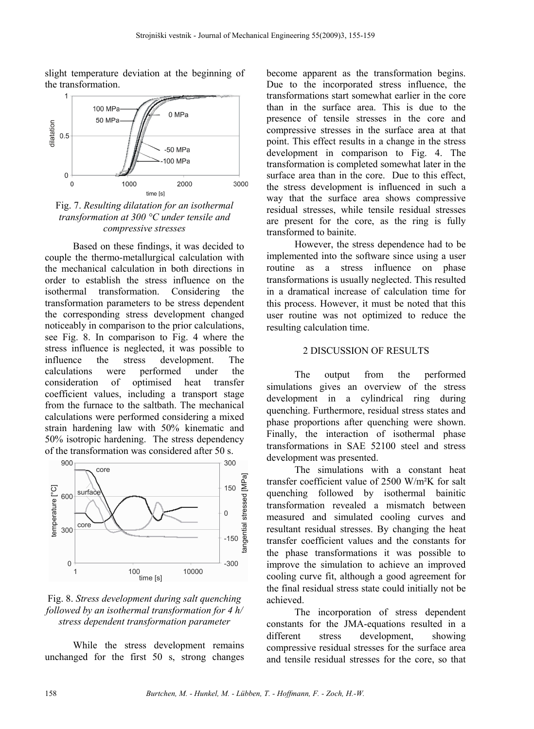slight temperature deviation at the beginning of the transformation.



Fig. 7. *Resulting dilatation for an isothermal transformation at 300 °C under tensile and compressive stresses*

Based on these findings, it was decided to couple the thermo-metallurgical calculation with the mechanical calculation in both directions in order to establish the stress influence on the isothermal transformation. Considering the transformation parameters to be stress dependent the corresponding stress development changed noticeably in comparison to the prior calculations, see Fig. 8. In comparison to Fig. 4 where the stress influence is neglected, it was possible to influence the stress development. The calculations were performed under the consideration of optimised heat transfer coefficient values, including a transport stage from the furnace to the saltbath. The mechanical calculations were performed considering a mixed strain hardening law with 50% kinematic and 50% isotropic hardening. The stress dependency of the transformation was considered after 50 s.



# Fig. 8. *Stress development during salt quenching followed by an isothermal transformation for 4 h/ stress dependent transformation parameter*

While the stress development remains unchanged for the first 50 s, strong changes become apparent as the transformation begins. Due to the incorporated stress influence, the transformations start somewhat earlier in the core than in the surface area. This is due to the presence of tensile stresses in the core and compressive stresses in the surface area at that point. This effect results in a change in the stress development in comparison to Fig. 4. The transformation is completed somewhat later in the surface area than in the core. Due to this effect, the stress development is influenced in such a way that the surface area shows compressive residual stresses, while tensile residual stresses are present for the core, as the ring is fully transformed to bainite.

However, the stress dependence had to be implemented into the software since using a user routine as a stress influence on phase transformations is usually neglected. This resulted in a dramatical increase of calculation time for this process. However, it must be noted that this user routine was not optimized to reduce the resulting calculation time.

## 2 DISCUSSION OF RESULTS

The output from the performed simulations gives an overview of the stress development in a cylindrical ring during quenching. Furthermore, residual stress states and phase proportions after quenching were shown. Finally, the interaction of isothermal phase transformations in SAE 52100 steel and stress development was presented.

The simulations with a constant heat transfer coefficient value of 2500 W/m²K for salt quenching followed by isothermal bainitic transformation revealed a mismatch between measured and simulated cooling curves and resultant residual stresses. By changing the heat transfer coefficient values and the constants for the phase transformations it was possible to improve the simulation to achieve an improved cooling curve fit, although a good agreement for the final residual stress state could initially not be achieved.

The incorporation of stress dependent constants for the JMA-equations resulted in a different stress development, showing compressive residual stresses for the surface area and tensile residual stresses for the core, so that